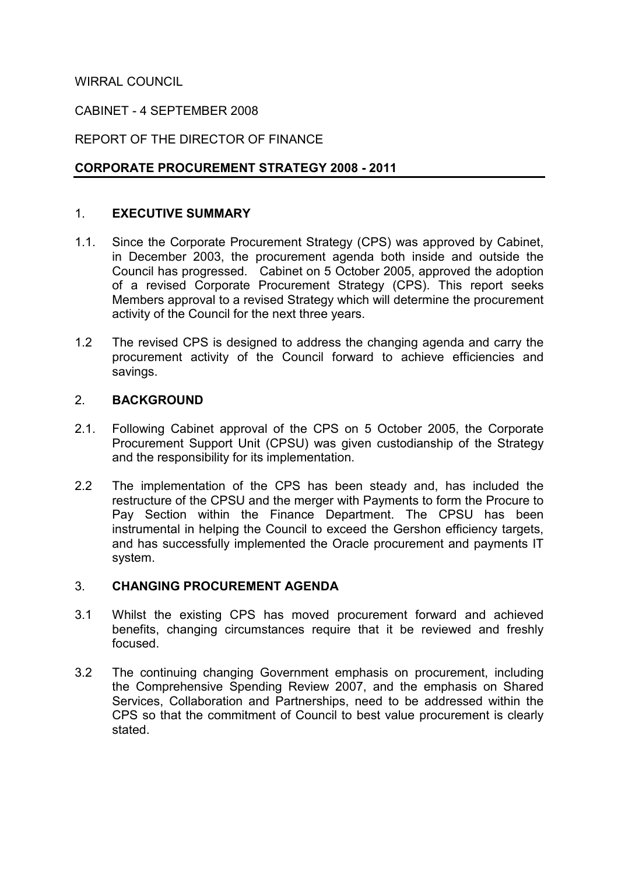## WIRRAL COUNCIL

### CABINET - 4 SEPTEMBER 2008

## REPORT OF THE DIRECTOR OF FINANCE

## CORPORATE PROCUREMENT STRATEGY 2008 - 2011

### 1. EXECUTIVE SUMMARY

- 1.1. Since the Corporate Procurement Strategy (CPS) was approved by Cabinet, in December 2003, the procurement agenda both inside and outside the Council has progressed. Cabinet on 5 October 2005, approved the adoption of a revised Corporate Procurement Strategy (CPS). This report seeks Members approval to a revised Strategy which will determine the procurement activity of the Council for the next three years.
- 1.2 The revised CPS is designed to address the changing agenda and carry the procurement activity of the Council forward to achieve efficiencies and savings.

#### 2. BACKGROUND

- 2.1. Following Cabinet approval of the CPS on 5 October 2005, the Corporate Procurement Support Unit (CPSU) was given custodianship of the Strategy and the responsibility for its implementation.
- 2.2 The implementation of the CPS has been steady and, has included the restructure of the CPSU and the merger with Payments to form the Procure to Pay Section within the Finance Department. The CPSU has been instrumental in helping the Council to exceed the Gershon efficiency targets, and has successfully implemented the Oracle procurement and payments IT system.

#### 3. CHANGING PROCUREMENT AGENDA

- 3.1 Whilst the existing CPS has moved procurement forward and achieved benefits, changing circumstances require that it be reviewed and freshly focused.
- 3.2 The continuing changing Government emphasis on procurement, including the Comprehensive Spending Review 2007, and the emphasis on Shared Services, Collaboration and Partnerships, need to be addressed within the CPS so that the commitment of Council to best value procurement is clearly stated.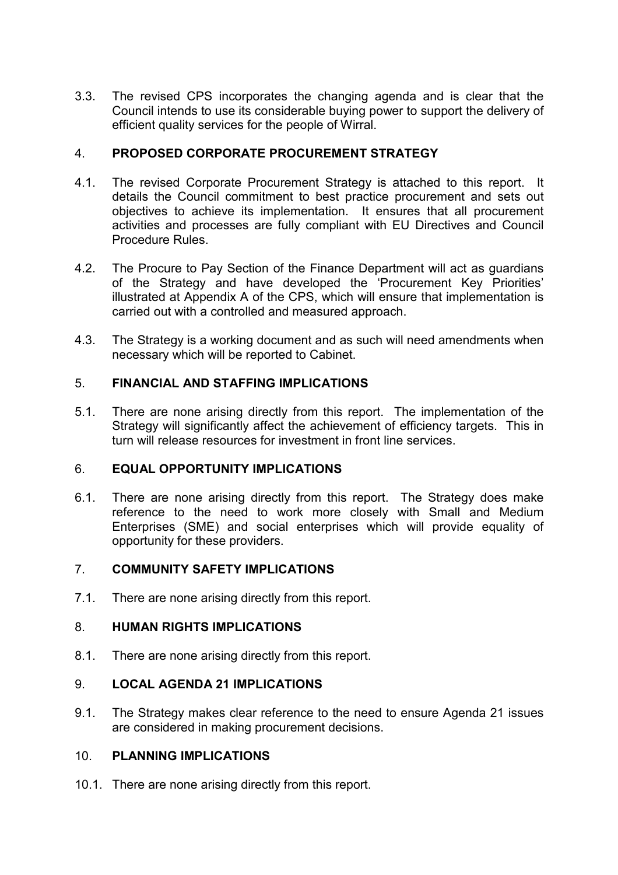3.3. The revised CPS incorporates the changing agenda and is clear that the Council intends to use its considerable buying power to support the delivery of efficient quality services for the people of Wirral.

### 4. PROPOSED CORPORATE PROCUREMENT STRATEGY

- 4.1. The revised Corporate Procurement Strategy is attached to this report. It details the Council commitment to best practice procurement and sets out objectives to achieve its implementation. It ensures that all procurement activities and processes are fully compliant with EU Directives and Council Procedure Rules.
- 4.2. The Procure to Pay Section of the Finance Department will act as guardians of the Strategy and have developed the 'Procurement Key Priorities' illustrated at Appendix A of the CPS, which will ensure that implementation is carried out with a controlled and measured approach.
- 4.3. The Strategy is a working document and as such will need amendments when necessary which will be reported to Cabinet.

## 5. FINANCIAL AND STAFFING IMPLICATIONS

5.1. There are none arising directly from this report. The implementation of the Strategy will significantly affect the achievement of efficiency targets. This in turn will release resources for investment in front line services.

### 6. EQUAL OPPORTUNITY IMPLICATIONS

6.1. There are none arising directly from this report. The Strategy does make reference to the need to work more closely with Small and Medium Enterprises (SME) and social enterprises which will provide equality of opportunity for these providers.

### 7. COMMUNITY SAFETY IMPLICATIONS

7.1. There are none arising directly from this report.

### 8. HUMAN RIGHTS IMPLICATIONS

8.1. There are none arising directly from this report.

### 9. LOCAL AGENDA 21 IMPLICATIONS

9.1. The Strategy makes clear reference to the need to ensure Agenda 21 issues are considered in making procurement decisions.

## 10. PLANNING IMPLICATIONS

10.1. There are none arising directly from this report.